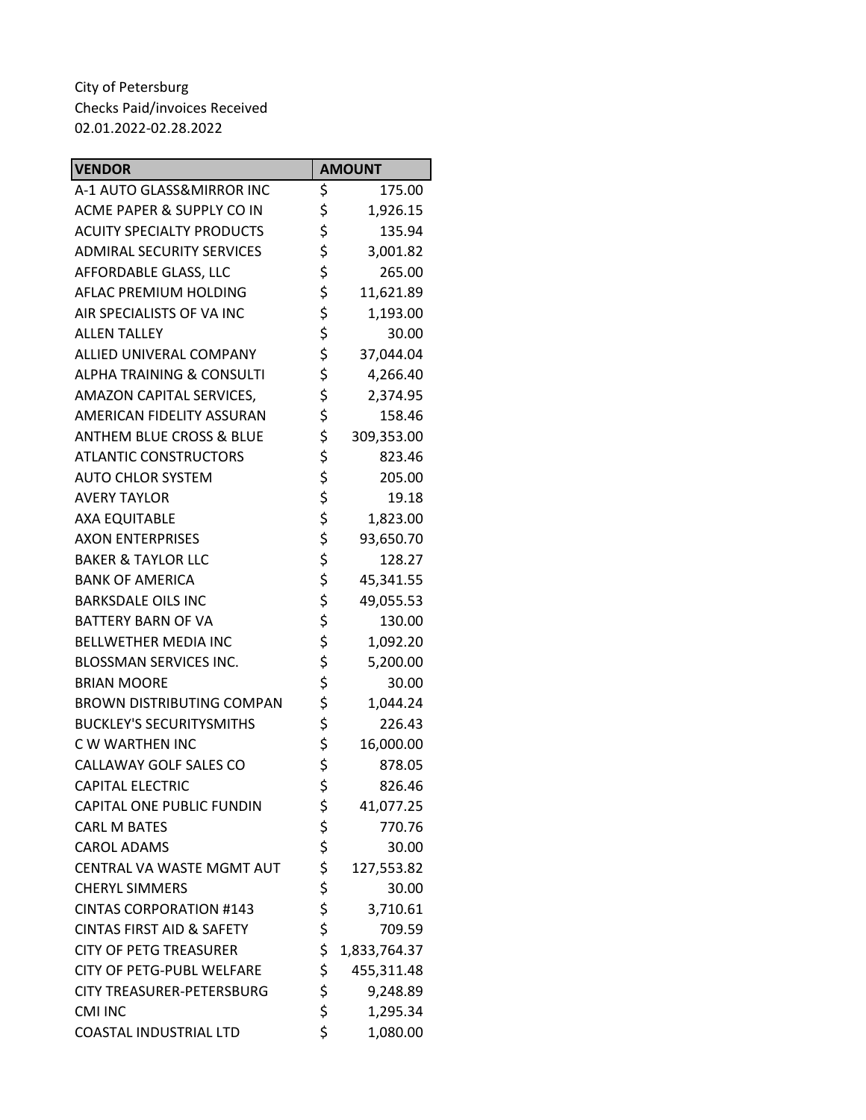| <b>VENDOR</b>                        | <b>AMOUNT</b>      |
|--------------------------------------|--------------------|
| A-1 AUTO GLASS&MIRROR INC            | \$<br>175.00       |
| ACME PAPER & SUPPLY CO IN            | \$<br>1,926.15     |
| <b>ACUITY SPECIALTY PRODUCTS</b>     | \$<br>135.94       |
| <b>ADMIRAL SECURITY SERVICES</b>     | \$<br>3,001.82     |
| AFFORDABLE GLASS, LLC                | \$<br>265.00       |
| AFLAC PREMIUM HOLDING                | \$<br>11,621.89    |
| AIR SPECIALISTS OF VA INC            | \$<br>1,193.00     |
| <b>ALLEN TALLEY</b>                  | \$<br>30.00        |
| ALLIED UNIVERAL COMPANY              | \$<br>37,044.04    |
| <b>ALPHA TRAINING &amp; CONSULTI</b> | \$<br>4,266.40     |
| AMAZON CAPITAL SERVICES,             | \$<br>2,374.95     |
| AMERICAN FIDELITY ASSURAN            | \$<br>158.46       |
| <b>ANTHEM BLUE CROSS &amp; BLUE</b>  | \$<br>309,353.00   |
| <b>ATLANTIC CONSTRUCTORS</b>         | \$<br>823.46       |
| <b>AUTO CHLOR SYSTEM</b>             | \$<br>205.00       |
| <b>AVERY TAYLOR</b>                  | \$<br>19.18        |
| <b>AXA EQUITABLE</b>                 | \$<br>1,823.00     |
| <b>AXON ENTERPRISES</b>              | \$<br>93,650.70    |
| <b>BAKER &amp; TAYLOR LLC</b>        | \$<br>128.27       |
| <b>BANK OF AMERICA</b>               | \$<br>45,341.55    |
| <b>BARKSDALE OILS INC</b>            | \$<br>49,055.53    |
| <b>BATTERY BARN OF VA</b>            | \$<br>130.00       |
| <b>BELLWETHER MEDIA INC</b>          | \$<br>1,092.20     |
| <b>BLOSSMAN SERVICES INC.</b>        | \$<br>5,200.00     |
| <b>BRIAN MOORE</b>                   | \$<br>30.00        |
| <b>BROWN DISTRIBUTING COMPAN</b>     | \$<br>1,044.24     |
| <b>BUCKLEY'S SECURITYSMITHS</b>      | \$<br>226.43       |
| C W WARTHEN INC                      | \$<br>16,000.00    |
| CALLAWAY GOLF SALES CO               | \$<br>878.05       |
| <b>CAPITAL ELECTRIC</b>              | \$<br>826.46       |
| CAPITAL ONE PUBLIC FUNDIN            | \$<br>41,077.25    |
| <b>CARL M BATES</b>                  | \$<br>770.76       |
| <b>CAROL ADAMS</b>                   | \$<br>30.00        |
| CENTRAL VA WASTE MGMT AUT            | \$<br>127,553.82   |
| <b>CHERYL SIMMERS</b>                | \$<br>30.00        |
| <b>CINTAS CORPORATION #143</b>       | \$<br>3,710.61     |
| <b>CINTAS FIRST AID &amp; SAFETY</b> | \$<br>709.59       |
| <b>CITY OF PETG TREASURER</b>        | \$<br>1,833,764.37 |
| <b>CITY OF PETG-PUBL WELFARE</b>     | \$<br>455,311.48   |
| <b>CITY TREASURER-PETERSBURG</b>     | \$<br>9,248.89     |
| <b>CMI INC</b>                       | \$<br>1,295.34     |
| <b>COASTAL INDUSTRIAL LTD</b>        | \$<br>1,080.00     |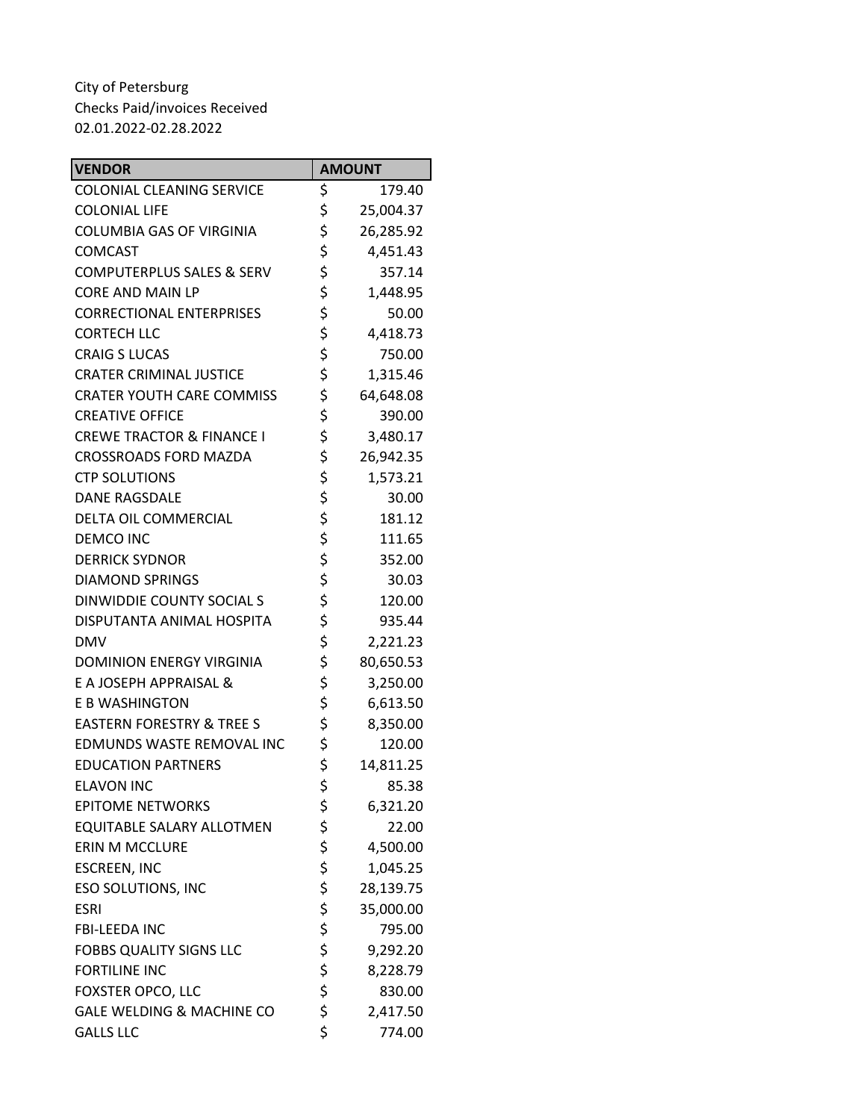| <b>VENDOR</b>                        |          | <b>AMOUNT</b> |
|--------------------------------------|----------|---------------|
| <b>COLONIAL CLEANING SERVICE</b>     | \$       | 179.40        |
| <b>COLONIAL LIFE</b>                 | \$       | 25,004.37     |
| <b>COLUMBIA GAS OF VIRGINIA</b>      | \$       | 26,285.92     |
| <b>COMCAST</b>                       | \$       | 4,451.43      |
| <b>COMPUTERPLUS SALES &amp; SERV</b> | \$       | 357.14        |
| <b>CORE AND MAIN LP</b>              | \$       | 1,448.95      |
| <b>CORRECTIONAL ENTERPRISES</b>      | \$       | 50.00         |
| <b>CORTECH LLC</b>                   | \$       | 4,418.73      |
| <b>CRAIG S LUCAS</b>                 | \$       | 750.00        |
| <b>CRATER CRIMINAL JUSTICE</b>       | \$       | 1,315.46      |
| <b>CRATER YOUTH CARE COMMISS</b>     | \$       | 64,648.08     |
| <b>CREATIVE OFFICE</b>               | \$       | 390.00        |
| <b>CREWE TRACTOR &amp; FINANCE I</b> | \$       | 3,480.17      |
| <b>CROSSROADS FORD MAZDA</b>         | \$       | 26,942.35     |
| <b>CTP SOLUTIONS</b>                 | \$       | 1,573.21      |
| <b>DANE RAGSDALE</b>                 | \$       | 30.00         |
| DELTA OIL COMMERCIAL                 | \$       | 181.12        |
| <b>DEMCO INC</b>                     | \$       | 111.65        |
| <b>DERRICK SYDNOR</b>                | \$       | 352.00        |
| <b>DIAMOND SPRINGS</b>               | \$       | 30.03         |
| DINWIDDIE COUNTY SOCIAL S            | \$       | 120.00        |
| DISPUTANTA ANIMAL HOSPITA            | \$       | 935.44        |
| <b>DMV</b>                           | \$       | 2,221.23      |
| <b>DOMINION ENERGY VIRGINIA</b>      | \$       | 80,650.53     |
| E A JOSEPH APPRAISAL &               | \$       | 3,250.00      |
| E B WASHINGTON                       | \$       | 6,613.50      |
| <b>EASTERN FORESTRY &amp; TREE S</b> | \$       | 8,350.00      |
| <b>EDMUNDS WASTE REMOVAL INC</b>     | \$       | 120.00        |
| <b>EDUCATION PARTNERS</b>            | \$       | 14,811.25     |
| <b>ELAVON INC</b>                    | \$       | 85.38         |
| <b>EPITOME NETWORKS</b>              | \$       | 6,321.20      |
| EQUITABLE SALARY ALLOTMEN            | \$       | 22.00         |
| <b>ERIN M MCCLURE</b>                | \$       | 4,500.00      |
| <b>ESCREEN, INC</b>                  | \$       | 1,045.25      |
| <b>ESO SOLUTIONS, INC</b>            | \$       | 28,139.75     |
| <b>ESRI</b>                          | \$       | 35,000.00     |
| <b>FBI-LEEDA INC</b>                 | \$       | 795.00        |
| <b>FOBBS QUALITY SIGNS LLC</b>       | \$<br>\$ | 9,292.20      |
| <b>FORTILINE INC</b>                 |          | 8,228.79      |
| FOXSTER OPCO, LLC                    | \$       | 830.00        |
| <b>GALE WELDING &amp; MACHINE CO</b> | \$       | 2,417.50      |
| <b>GALLS LLC</b>                     | \$       | 774.00        |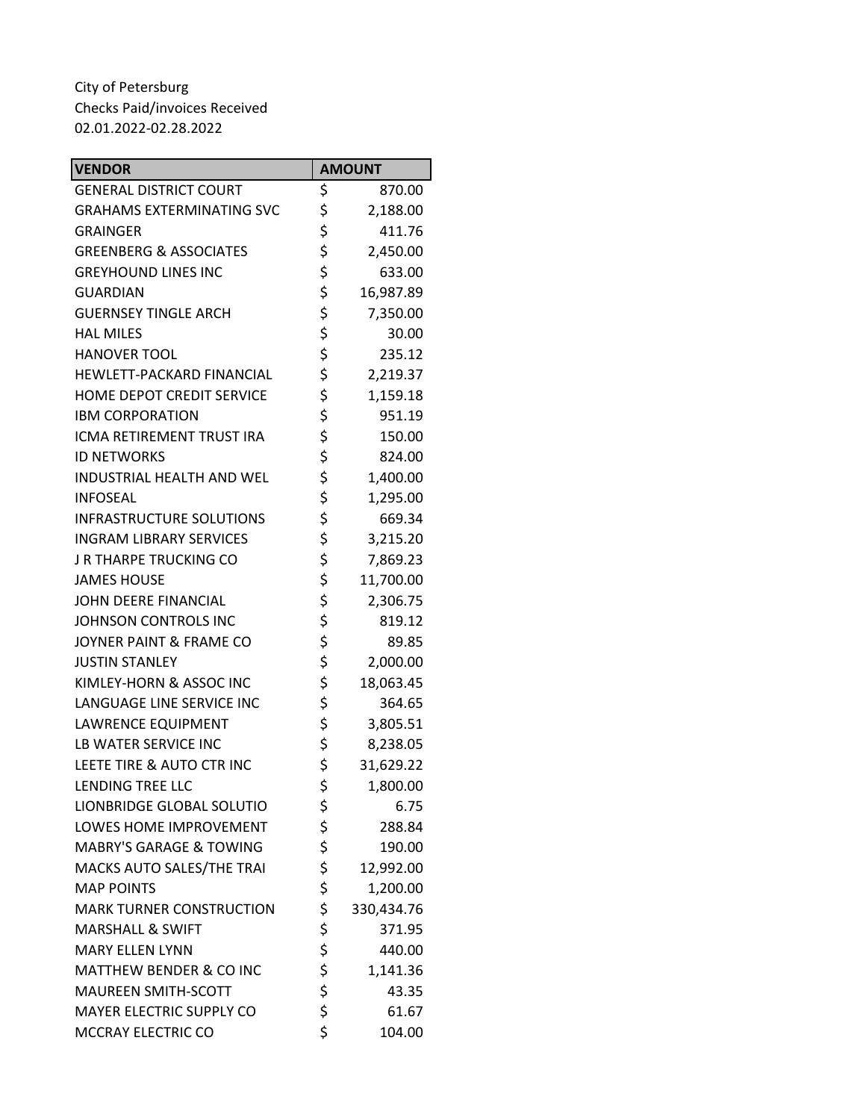| <b>VENDOR</b>                      | <b>AMOUNT</b>    |
|------------------------------------|------------------|
| <b>GENERAL DISTRICT COURT</b>      | \$<br>870.00     |
| <b>GRAHAMS EXTERMINATING SVC</b>   | \$<br>2,188.00   |
| <b>GRAINGER</b>                    | \$<br>411.76     |
| <b>GREENBERG &amp; ASSOCIATES</b>  | \$<br>2,450.00   |
| <b>GREYHOUND LINES INC</b>         | \$<br>633.00     |
| <b>GUARDIAN</b>                    | \$<br>16,987.89  |
| <b>GUERNSEY TINGLE ARCH</b>        | \$<br>7,350.00   |
| <b>HAL MILES</b>                   | \$<br>30.00      |
| <b>HANOVER TOOL</b>                | \$<br>235.12     |
| HEWLETT-PACKARD FINANCIAL          | \$<br>2,219.37   |
| HOME DEPOT CREDIT SERVICE          | \$<br>1,159.18   |
| <b>IBM CORPORATION</b>             | \$<br>951.19     |
| ICMA RETIREMENT TRUST IRA          | \$<br>150.00     |
| <b>ID NETWORKS</b>                 | \$<br>824.00     |
| <b>INDUSTRIAL HEALTH AND WEL</b>   | \$<br>1,400.00   |
| <b>INFOSEAL</b>                    | \$<br>1,295.00   |
| <b>INFRASTRUCTURE SOLUTIONS</b>    | \$<br>669.34     |
| <b>INGRAM LIBRARY SERVICES</b>     | \$<br>3,215.20   |
| J R THARPE TRUCKING CO             | \$<br>7,869.23   |
| <b>JAMES HOUSE</b>                 | \$<br>11,700.00  |
| JOHN DEERE FINANCIAL               | \$<br>2,306.75   |
| JOHNSON CONTROLS INC               | \$<br>819.12     |
| JOYNER PAINT & FRAME CO            | \$<br>89.85      |
| <b>JUSTIN STANLEY</b>              | \$<br>2,000.00   |
| KIMLEY-HORN & ASSOC INC            | \$<br>18,063.45  |
| LANGUAGE LINE SERVICE INC          | \$<br>364.65     |
| <b>LAWRENCE EQUIPMENT</b>          | \$<br>3,805.51   |
| LB WATER SERVICE INC               | \$<br>8,238.05   |
| LEETE TIRE & AUTO CTR INC          | \$<br>31,629.22  |
| LENDING TREE LLC                   | \$<br>1,800.00   |
| <b>LIONBRIDGE GLOBAL SOLUTIO</b>   | \$<br>6.75       |
| LOWES HOME IMPROVEMENT             | \$<br>288.84     |
| <b>MABRY'S GARAGE &amp; TOWING</b> | \$<br>190.00     |
| MACKS AUTO SALES/THE TRAI          | \$<br>12,992.00  |
| <b>MAP POINTS</b>                  | \$<br>1,200.00   |
| <b>MARK TURNER CONSTRUCTION</b>    | \$<br>330,434.76 |
| <b>MARSHALL &amp; SWIFT</b>        | \$<br>371.95     |
| <b>MARY ELLEN LYNN</b>             | \$<br>440.00     |
| <b>MATTHEW BENDER &amp; CO INC</b> | \$<br>1,141.36   |
| <b>MAUREEN SMITH-SCOTT</b>         | \$<br>43.35      |
| MAYER ELECTRIC SUPPLY CO           | \$<br>61.67      |
| MCCRAY ELECTRIC CO                 | \$<br>104.00     |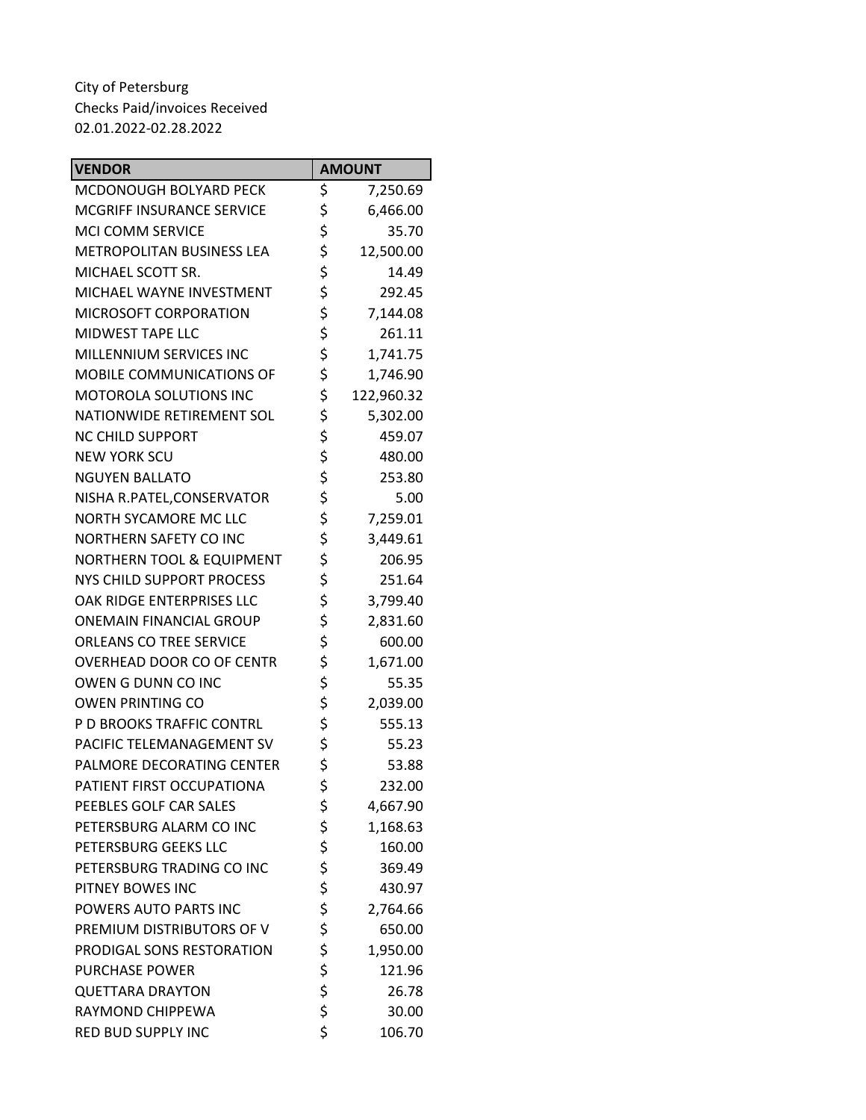| <b>VENDOR</b>                        | <b>AMOUNT</b>    |
|--------------------------------------|------------------|
| MCDONOUGH BOLYARD PECK               | \$<br>7,250.69   |
| <b>MCGRIFF INSURANCE SERVICE</b>     | \$<br>6,466.00   |
| <b>MCI COMM SERVICE</b>              | \$<br>35.70      |
| <b>METROPOLITAN BUSINESS LEA</b>     | \$<br>12,500.00  |
| MICHAEL SCOTT SR.                    | \$<br>14.49      |
| MICHAEL WAYNE INVESTMENT             | \$<br>292.45     |
| MICROSOFT CORPORATION                | \$<br>7,144.08   |
| <b>MIDWEST TAPE LLC</b>              | \$<br>261.11     |
| MILLENNIUM SERVICES INC              | \$<br>1,741.75   |
| MOBILE COMMUNICATIONS OF             | \$<br>1,746.90   |
| <b>MOTOROLA SOLUTIONS INC</b>        | \$<br>122,960.32 |
| NATIONWIDE RETIREMENT SOL            | \$<br>5,302.00   |
| <b>NC CHILD SUPPORT</b>              | \$<br>459.07     |
| <b>NEW YORK SCU</b>                  | \$<br>480.00     |
| <b>NGUYEN BALLATO</b>                | \$<br>253.80     |
| NISHA R.PATEL, CONSERVATOR           | \$<br>5.00       |
| <b>NORTH SYCAMORE MC LLC</b>         | \$<br>7,259.01   |
| NORTHERN SAFETY CO INC               | \$<br>3,449.61   |
| <b>NORTHERN TOOL &amp; EQUIPMENT</b> | \$<br>206.95     |
| NYS CHILD SUPPORT PROCESS            | \$<br>251.64     |
| OAK RIDGE ENTERPRISES LLC            | \$<br>3,799.40   |
| <b>ONEMAIN FINANCIAL GROUP</b>       | \$<br>2,831.60   |
| <b>ORLEANS CO TREE SERVICE</b>       | \$<br>600.00     |
| OVERHEAD DOOR CO OF CENTR            | \$<br>1,671.00   |
| OWEN G DUNN CO INC                   | \$<br>55.35      |
| <b>OWEN PRINTING CO</b>              | \$<br>2,039.00   |
| P D BROOKS TRAFFIC CONTRL            | \$<br>555.13     |
| PACIFIC TELEMANAGEMENT SV            | \$<br>55.23      |
| PALMORE DECORATING CENTER            | \$<br>53.88      |
| PATIENT FIRST OCCUPATIONA            | \$<br>232.00     |
| PEEBLES GOLF CAR SALES               | \$<br>4,667.90   |
| PETERSBURG ALARM CO INC              | \$<br>1,168.63   |
| PETERSBURG GEEKS LLC                 | \$<br>160.00     |
| PETERSBURG TRADING CO INC            | \$<br>369.49     |
| PITNEY BOWES INC                     | \$<br>430.97     |
| POWERS AUTO PARTS INC                | \$<br>2,764.66   |
| PREMIUM DISTRIBUTORS OF V            | \$<br>650.00     |
| PRODIGAL SONS RESTORATION            | \$<br>1,950.00   |
| <b>PURCHASE POWER</b>                | \$<br>121.96     |
| <b>QUETTARA DRAYTON</b>              | \$<br>26.78      |
| RAYMOND CHIPPEWA                     | \$<br>30.00      |
| RED BUD SUPPLY INC                   | \$<br>106.70     |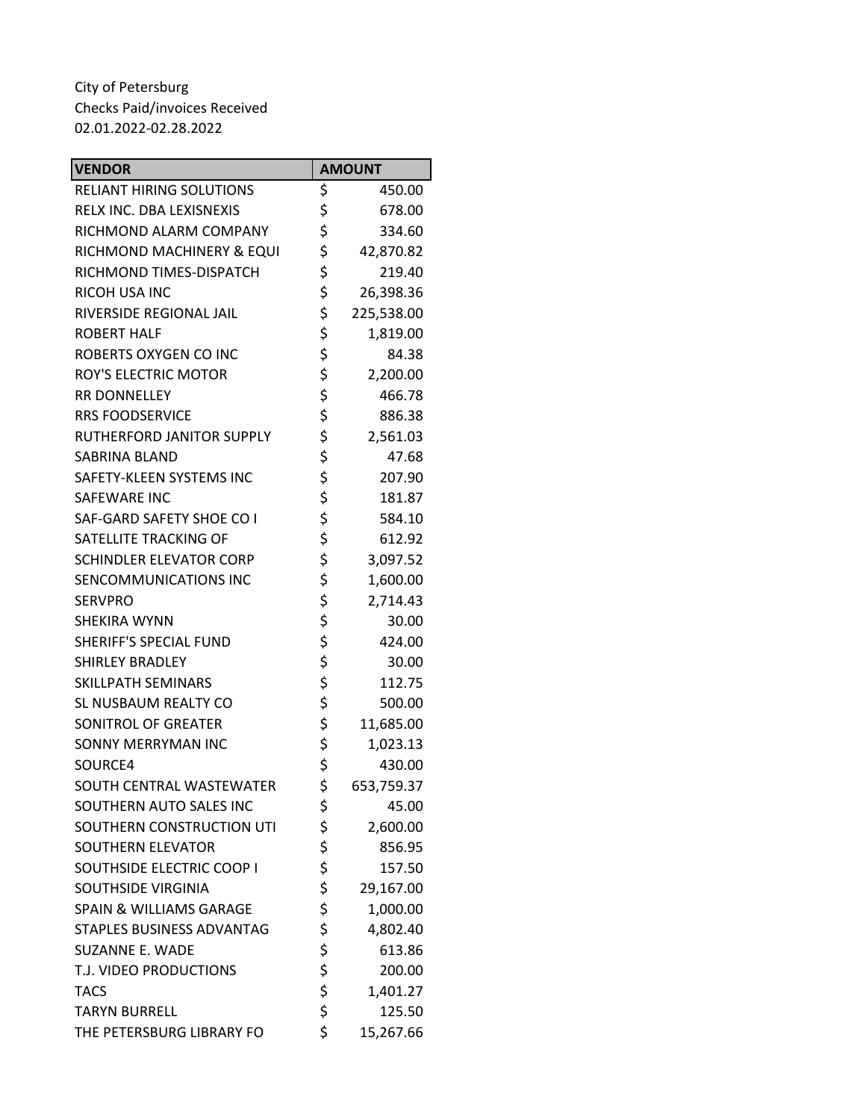| <b>VENDOR</b>                      | <b>AMOUNT</b>    |
|------------------------------------|------------------|
| <b>RELIANT HIRING SOLUTIONS</b>    | \$<br>450.00     |
| RELX INC. DBA LEXISNEXIS           | \$<br>678.00     |
| RICHMOND ALARM COMPANY             | \$<br>334.60     |
| RICHMOND MACHINERY & EQUI          | \$<br>42,870.82  |
| RICHMOND TIMES-DISPATCH            | \$<br>219.40     |
| <b>RICOH USA INC</b>               | \$<br>26,398.36  |
| RIVERSIDE REGIONAL JAIL            | \$<br>225,538.00 |
| <b>ROBERT HALF</b>                 | \$<br>1,819.00   |
| ROBERTS OXYGEN CO INC              | \$<br>84.38      |
| <b>ROY'S ELECTRIC MOTOR</b>        | \$<br>2,200.00   |
| <b>RR DONNELLEY</b>                | \$<br>466.78     |
| <b>RRS FOODSERVICE</b>             | \$<br>886.38     |
| RUTHERFORD JANITOR SUPPLY          | \$<br>2,561.03   |
| <b>SABRINA BLAND</b>               | \$<br>47.68      |
| SAFETY-KLEEN SYSTEMS INC           | \$<br>207.90     |
| <b>SAFEWARE INC</b>                | \$<br>181.87     |
| SAF-GARD SAFETY SHOE CO I          | \$<br>584.10     |
| SATELLITE TRACKING OF              | \$<br>612.92     |
| <b>SCHINDLER ELEVATOR CORP</b>     | \$<br>3,097.52   |
| SENCOMMUNICATIONS INC              | \$<br>1,600.00   |
| <b>SERVPRO</b>                     | \$<br>2,714.43   |
| <b>SHEKIRA WYNN</b>                | \$<br>30.00      |
| <b>SHERIFF'S SPECIAL FUND</b>      | \$<br>424.00     |
| <b>SHIRLEY BRADLEY</b>             | \$<br>30.00      |
| SKILLPATH SEMINARS                 | \$<br>112.75     |
| SL NUSBAUM REALTY CO               | \$<br>500.00     |
| SONITROL OF GREATER                | \$<br>11,685.00  |
| <b>SONNY MERRYMAN INC</b>          | \$<br>1,023.13   |
| SOURCE4                            | \$<br>430.00     |
| SOUTH CENTRAL WASTEWATER           | \$<br>653,759.37 |
| SOUTHERN AUTO SALES INC            | \$<br>45.00      |
| SOUTHERN CONSTRUCTION UTI          | \$<br>2,600.00   |
| SOUTHERN ELEVATOR                  | \$<br>856.95     |
| SOUTHSIDE ELECTRIC COOP I          | \$<br>157.50     |
| <b>SOUTHSIDE VIRGINIA</b>          | \$<br>29,167.00  |
| <b>SPAIN &amp; WILLIAMS GARAGE</b> | \$<br>1,000.00   |
| STAPLES BUSINESS ADVANTAG          | \$<br>4,802.40   |
| <b>SUZANNE E. WADE</b>             | \$<br>613.86     |
| T.J. VIDEO PRODUCTIONS             | \$<br>200.00     |
| <b>TACS</b>                        | \$<br>1,401.27   |
| <b>TARYN BURRELL</b>               | \$<br>125.50     |
| THE PETERSBURG LIBRARY FO          | \$<br>15,267.66  |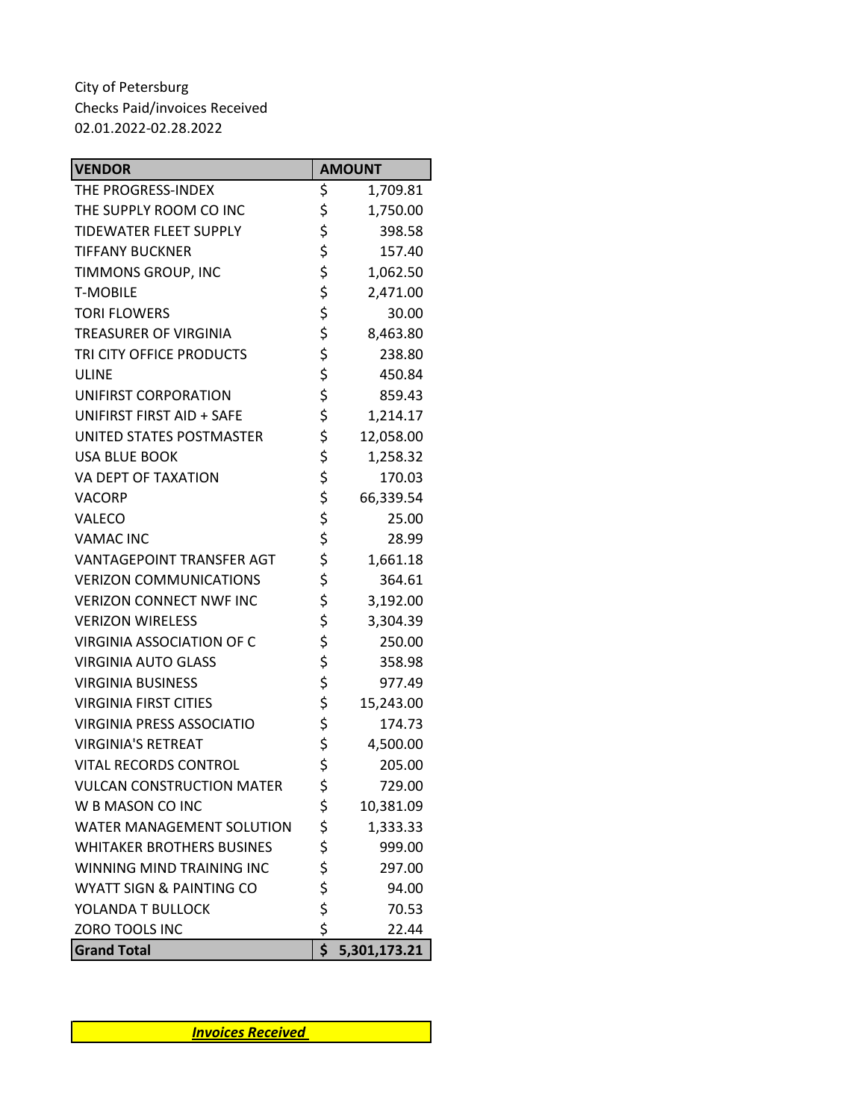| <b>VENDOR</b>                       | <b>AMOUNT</b>      |
|-------------------------------------|--------------------|
| THE PROGRESS-INDEX                  | \$<br>1,709.81     |
| THE SUPPLY ROOM CO INC              | \$<br>1,750.00     |
| <b>TIDEWATER FLEET SUPPLY</b>       | \$<br>398.58       |
| <b>TIFFANY BUCKNER</b>              | \$<br>157.40       |
| TIMMONS GROUP, INC                  | \$<br>1,062.50     |
| <b>T-MOBILE</b>                     | \$<br>2,471.00     |
| <b>TORI FLOWERS</b>                 | \$<br>30.00        |
| <b>TREASURER OF VIRGINIA</b>        | \$<br>8,463.80     |
| TRI CITY OFFICE PRODUCTS            | \$<br>238.80       |
| <b>ULINE</b>                        | \$<br>450.84       |
| UNIFIRST CORPORATION                | \$<br>859.43       |
| <b>UNIFIRST FIRST AID + SAFE</b>    | \$<br>1,214.17     |
| UNITED STATES POSTMASTER            | \$<br>12,058.00    |
| <b>USA BLUE BOOK</b>                | \$<br>1,258.32     |
| VA DEPT OF TAXATION                 | \$<br>170.03       |
| VACORP                              | \$<br>66,339.54    |
| VALECO                              | \$<br>25.00        |
| <b>VAMAC INC</b>                    | \$<br>28.99        |
| <b>VANTAGEPOINT TRANSFER AGT</b>    | \$<br>1,661.18     |
| <b>VERIZON COMMUNICATIONS</b>       | \$<br>364.61       |
| <b>VERIZON CONNECT NWF INC</b>      | \$<br>3,192.00     |
| <b>VERIZON WIRELESS</b>             | \$<br>3,304.39     |
| <b>VIRGINIA ASSOCIATION OF C</b>    | \$<br>250.00       |
| <b>VIRGINIA AUTO GLASS</b>          | \$<br>358.98       |
| <b>VIRGINIA BUSINESS</b>            | \$<br>977.49       |
| <b>VIRGINIA FIRST CITIES</b>        | \$<br>15,243.00    |
| <b>VIRGINIA PRESS ASSOCIATIO</b>    | \$<br>174.73       |
| <b>VIRGINIA'S RETREAT</b>           | \$<br>4,500.00     |
| VITAL RECORDS CONTROL               | \$<br>205.00       |
| <b>VULCAN CONSTRUCTION MATER</b>    | \$<br>729.00       |
| W B MASON CO INC                    | \$<br>10,381.09    |
| <b>WATER MANAGEMENT SOLUTION</b>    | \$<br>1,333.33     |
| <b>WHITAKER BROTHERS BUSINES</b>    | \$<br>999.00       |
| WINNING MIND TRAINING INC           | \$<br>297.00       |
| <b>WYATT SIGN &amp; PAINTING CO</b> | \$<br>94.00        |
| YOLANDA T BULLOCK                   | \$<br>70.53        |
| ZORO TOOLS INC                      | \$<br>22.44        |
| <b>Grand Total</b>                  | \$<br>5,301,173.21 |

*Invoices Received*